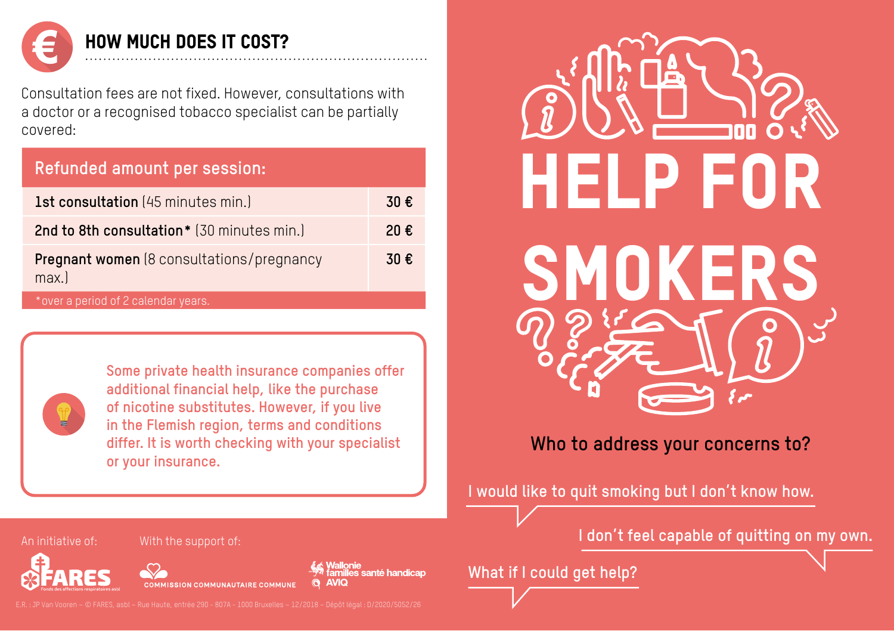

HOW MUCH DOES IT COST?

Consultation fees are not fixed. However, consultations with a doctor or a recognised tobacco specialist can be partially covered:

| Refunded amount per session:              |      |
|-------------------------------------------|------|
| <b>1st consultation</b> (45 minutes min.) | 30 € |

| 2nd to 8th consultation* (30 minutes min.)               | 20€ |
|----------------------------------------------------------|-----|
| <b>Pregnant women</b> (8 consultations/pregnancy<br>max. | 30€ |

\*over a period of 2 calendar years.



**Some private health insurance companies offer additional financial help, like the purchase of nicotine substitutes. However, if you live in the Flemish region, terms and conditions differ. It is worth checking with your specialist or your insurance.**



#### **Who to address your concerns to?**

**I would like to quit smoking but I don't know how.**

**What if I could get help?** 

An initiative of: With the support of:



COMMISSION COMMUNAUTAIRE COMMUNE

Vallonie<br>amilles santé handicap **AVIQ** 

**I don't feel capable of quitting on my own.**